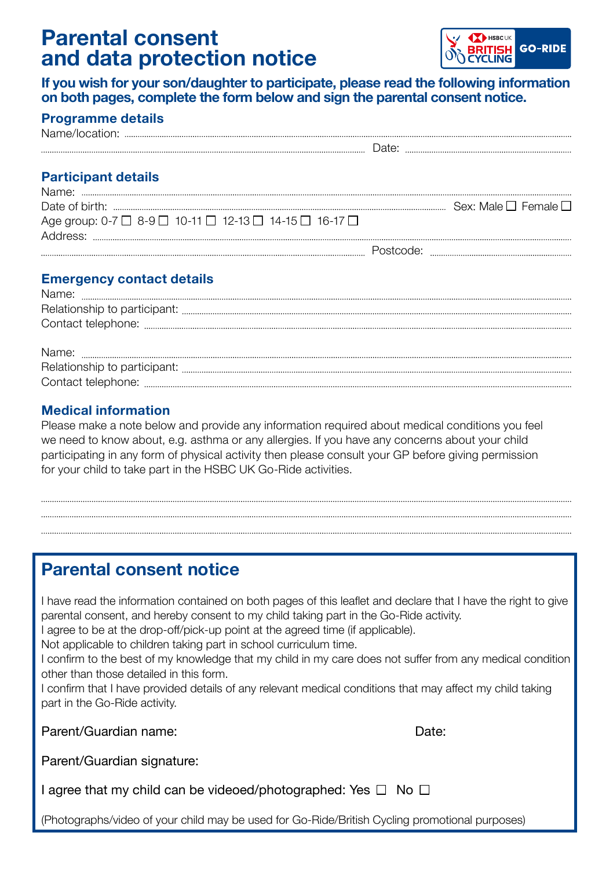# **Parental consent and data protection notice**



**If you wish for your son/daughter to participate, please read the following information on both pages, complete the form below and sign the parental consent notice.**

| <b>Programme details</b> |  |
|--------------------------|--|
|--------------------------|--|

| <b>Participant details</b>                                                                                                                                                                                                                                         |  |
|--------------------------------------------------------------------------------------------------------------------------------------------------------------------------------------------------------------------------------------------------------------------|--|
|                                                                                                                                                                                                                                                                    |  |
|                                                                                                                                                                                                                                                                    |  |
| Age group: 0-7 □ 8-9 □ 10-11 □ 12-13 □ 14-15 □ 16-17 □                                                                                                                                                                                                             |  |
|                                                                                                                                                                                                                                                                    |  |
|                                                                                                                                                                                                                                                                    |  |
|                                                                                                                                                                                                                                                                    |  |
| <b>Emergency contact details</b><br>Notes and the second contract of the second second second second second second second second second second second second second second second second second second second second second second second second second second sec |  |

| $\label{thm:main} \textsf{Name:}\quad \begin{minipage}[c]{0.9\linewidth} \begin{minipage}[c]{0.9\linewidth} \begin{minipage}[c]{0.9\linewidth} \begin{minipage}[c]{0.9\linewidth} \end{minipage}[c]{0.9\linewidth} \begin{minipage}[c]{0.9\linewidth} \begin{minipage}[c]{0.9\linewidth} \end{minipage}[c]{0.9\linewidth} \end{minipage}[c]{0.9\linewidth} \begin{minipage}[c]{0.9\linewidth} \begin{minipage}[c]{0.9\linewidth} \end{minipage}[c]{0.9\linewidth} \begin{minipage}[c]{0.9\linewidth} \end{minipage}[c]{$ |
|--------------------------------------------------------------------------------------------------------------------------------------------------------------------------------------------------------------------------------------------------------------------------------------------------------------------------------------------------------------------------------------------------------------------------------------------------------------------------------------------------------------------------|
|                                                                                                                                                                                                                                                                                                                                                                                                                                                                                                                          |
|                                                                                                                                                                                                                                                                                                                                                                                                                                                                                                                          |
|                                                                                                                                                                                                                                                                                                                                                                                                                                                                                                                          |
|                                                                                                                                                                                                                                                                                                                                                                                                                                                                                                                          |
|                                                                                                                                                                                                                                                                                                                                                                                                                                                                                                                          |
|                                                                                                                                                                                                                                                                                                                                                                                                                                                                                                                          |

### **Medical information**

Please make a note below and provide any information required about medical conditions you feel we need to know about, e.g. asthma or any allergies. If you have any concerns about your child participating in any form of physical activity then please consult your GP before giving permission for your child to take part in the HSBC UK Go-Ride activities.

## **Parental consent notice**

I have read the information contained on both pages of this leaflet and declare that I have the right to give parental consent, and hereby consent to my child taking part in the Go-Ride activity. I agree to be at the drop-off/pick-up point at the agreed time (if applicable).

Not applicable to children taking part in school curriculum time.

I confirm to the best of my knowledge that my child in my care does not suffer from any medical condition other than those detailed in this form.

I confirm that I have provided details of any relevant medical conditions that may affect my child taking part in the Go-Ride activity.

Parent/Guardian name: Date:

Parent/Guardian signature:

I agree that my child can be videoed/photographed: Yes  $\Box$  No  $\Box$ 

(Photographs/video of your child may be used for Go-Ride/British Cycling promotional purposes)